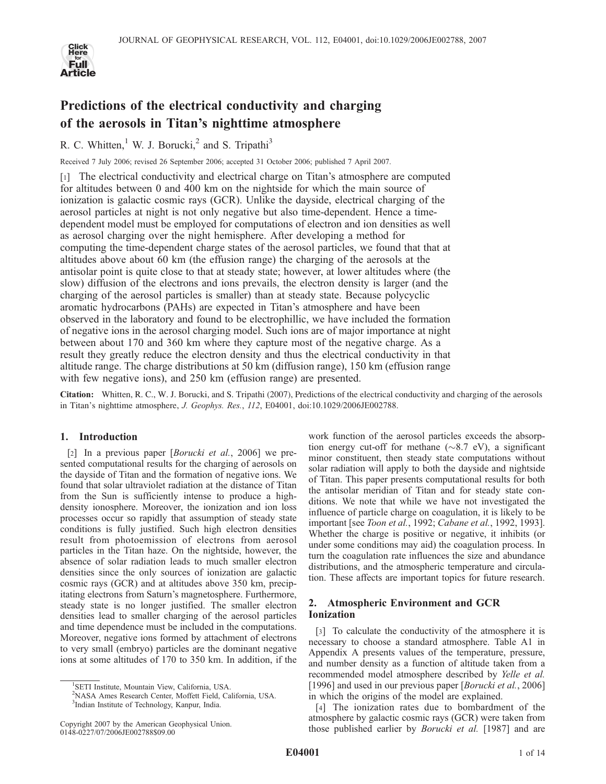

# Predictions of the electrical conductivity and charging of the aerosols in Titan's nighttime atmosphere

R. C. Whitten,<sup>1</sup> W. J. Borucki,<sup>2</sup> and S. Tripathi<sup>3</sup>

Received 7 July 2006; revised 26 September 2006; accepted 31 October 2006; published 7 April 2007.

[1] The electrical conductivity and electrical charge on Titan's atmosphere are computed for altitudes between 0 and 400 km on the nightside for which the main source of ionization is galactic cosmic rays (GCR). Unlike the dayside, electrical charging of the aerosol particles at night is not only negative but also time-dependent. Hence a timedependent model must be employed for computations of electron and ion densities as well as aerosol charging over the night hemisphere. After developing a method for computing the time-dependent charge states of the aerosol particles, we found that that at altitudes above about 60 km (the effusion range) the charging of the aerosols at the antisolar point is quite close to that at steady state; however, at lower altitudes where (the slow) diffusion of the electrons and ions prevails, the electron density is larger (and the charging of the aerosol particles is smaller) than at steady state. Because polycyclic aromatic hydrocarbons (PAHs) are expected in Titan's atmosphere and have been observed in the laboratory and found to be electrophillic, we have included the formation of negative ions in the aerosol charging model. Such ions are of major importance at night between about 170 and 360 km where they capture most of the negative charge. As a result they greatly reduce the electron density and thus the electrical conductivity in that altitude range. The charge distributions at 50 km (diffusion range), 150 km (effusion range with few negative ions), and 250 km (effusion range) are presented.

Citation: Whitten, R. C., W. J. Borucki, and S. Tripathi (2007), Predictions of the electrical conductivity and charging of the aerosols in Titan's nighttime atmosphere, J. Geophys. Res., 112, E04001, doi:10.1029/2006JE002788.

## 1. Introduction

[2] In a previous paper [*Borucki et al.*, 2006] we presented computational results for the charging of aerosols on the dayside of Titan and the formation of negative ions. We found that solar ultraviolet radiation at the distance of Titan from the Sun is sufficiently intense to produce a highdensity ionosphere. Moreover, the ionization and ion loss processes occur so rapidly that assumption of steady state conditions is fully justified. Such high electron densities result from photoemission of electrons from aerosol particles in the Titan haze. On the nightside, however, the absence of solar radiation leads to much smaller electron densities since the only sources of ionization are galactic cosmic rays (GCR) and at altitudes above 350 km, precipitating electrons from Saturn's magnetosphere. Furthermore, steady state is no longer justified. The smaller electron densities lead to smaller charging of the aerosol particles and time dependence must be included in the computations. Moreover, negative ions formed by attachment of electrons to very small (embryo) particles are the dominant negative ions at some altitudes of 170 to 350 km. In addition, if the

work function of the aerosol particles exceeds the absorption energy cut-off for methane  $(\sim 8.7 \text{ eV})$ , a significant minor constituent, then steady state computations without solar radiation will apply to both the dayside and nightside of Titan. This paper presents computational results for both the antisolar meridian of Titan and for steady state conditions. We note that while we have not investigated the influence of particle charge on coagulation, it is likely to be important [see *Toon et al.*, 1992; *Cabane et al.*, 1992, 1993]. Whether the charge is positive or negative, it inhibits (or under some conditions may aid) the coagulation process. In turn the coagulation rate influences the size and abundance distributions, and the atmospheric temperature and circulation. These affects are important topics for future research.

# 2. Atmospheric Environment and GCR Ionization

[3] To calculate the conductivity of the atmosphere it is necessary to choose a standard atmosphere. Table A1 in Appendix A presents values of the temperature, pressure, and number density as a function of altitude taken from a recommended model atmosphere described by Yelle et al. [1996] and used in our previous paper [Borucki et al., 2006] in which the origins of the model are explained.

[4] The ionization rates due to bombardment of the atmosphere by galactic cosmic rays (GCR) were taken from those published earlier by *Borucki et al.* [1987] and are

<sup>&</sup>lt;sup>1</sup>SETI Institute, Mountain View, California, USA.

<sup>2</sup> NASA Ames Research Center, Moffett Field, California, USA.

<sup>3</sup> Indian Institute of Technology, Kanpur, India.

Copyright 2007 by the American Geophysical Union. 0148-0227/07/2006JE002788\$09.00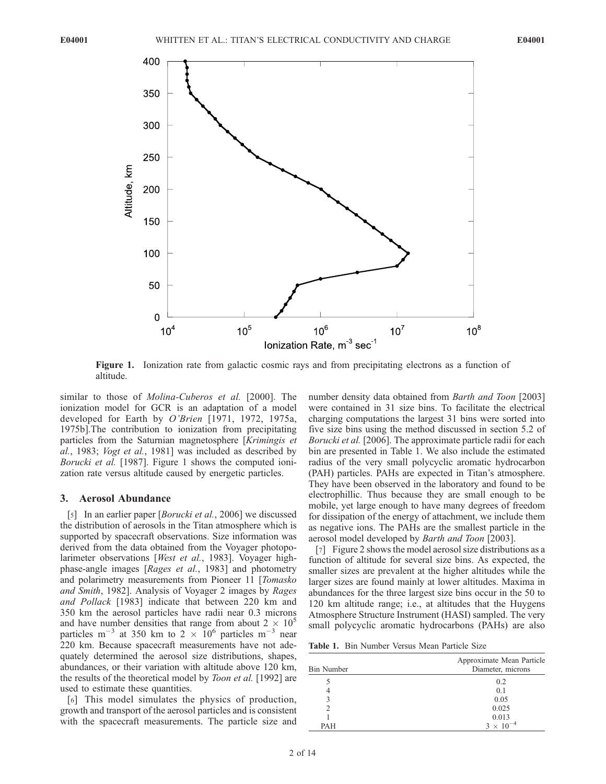

Figure 1. Ionization rate from galactic cosmic rays and from precipitating electrons as a function of altitude.

similar to those of *Molina-Cuberos et al.* [2000]. The ionization model for GCR is an adaptation of a model developed for Earth by O'Brien [1971, 1972, 1975a, 1975b].The contribution to ionization from precipitating particles from the Saturnian magnetosphere [Krimingis et al., 1983; Vogt et al., 1981] was included as described by Borucki et al. [1987]. Figure 1 shows the computed ionization rate versus altitude caused by energetic particles.

#### 3. Aerosol Abundance

[5] In an earlier paper [*Borucki et al.*, 2006] we discussed the distribution of aerosols in the Titan atmosphere which is supported by spacecraft observations. Size information was derived from the data obtained from the Voyager photopolarimeter observations [West et al., 1983]. Voyager highphase-angle images [Rages et al., 1983] and photometry and polarimetry measurements from Pioneer 11 [Tomasko and Smith, 1982]. Analysis of Voyager 2 images by Rages and Pollack [1983] indicate that between 220 km and 350 km the aerosol particles have radii near 0.3 microns and have number densities that range from about  $2 \times 10^5$ particles m<sup>-3</sup> at 350 km to 2  $\times$  10<sup>6</sup> particles m<sup>-3</sup> near 220 km. Because spacecraft measurements have not adequately determined the aerosol size distributions, shapes, abundances, or their variation with altitude above 120 km, the results of the theoretical model by *Toon et al.* [1992] are used to estimate these quantities.

[6] This model simulates the physics of production, growth and transport of the aerosol particles and is consistent with the spacecraft measurements. The particle size and number density data obtained from Barth and Toon [2003] were contained in 31 size bins. To facilitate the electrical charging computations the largest 31 bins were sorted into five size bins using the method discussed in section 5.2 of Borucki et al. [2006]. The approximate particle radii for each bin are presented in Table 1. We also include the estimated radius of the very small polycyclic aromatic hydrocarbon (PAH) particles. PAHs are expected in Titan's atmosphere. They have been observed in the laboratory and found to be electrophillic. Thus because they are small enough to be mobile, yet large enough to have many degrees of freedom for dissipation of the energy of attachment, we include them as negative ions. The PAHs are the smallest particle in the aerosol model developed by Barth and Toon [2003].

[7] Figure 2 shows the model aerosol size distributions as a function of altitude for several size bins. As expected, the smaller sizes are prevalent at the higher altitudes while the larger sizes are found mainly at lower altitudes. Maxima in abundances for the three largest size bins occur in the 50 to 120 km altitude range; i.e., at altitudes that the Huygens Atmosphere Structure Instrument (HASI) sampled. The very small polycyclic aromatic hydrocarbons (PAHs) are also

Table 1. Bin Number Versus Mean Particle Size

| <b>Bin Number</b> | Approximate Mean Particle<br>Diameter, microns |
|-------------------|------------------------------------------------|
|                   | 0.2                                            |
|                   | 0.1                                            |
|                   | 0.05                                           |
|                   | 0.025                                          |
|                   | 0.013                                          |
| <b>PAH</b>        | $3 \times 10^{-4}$                             |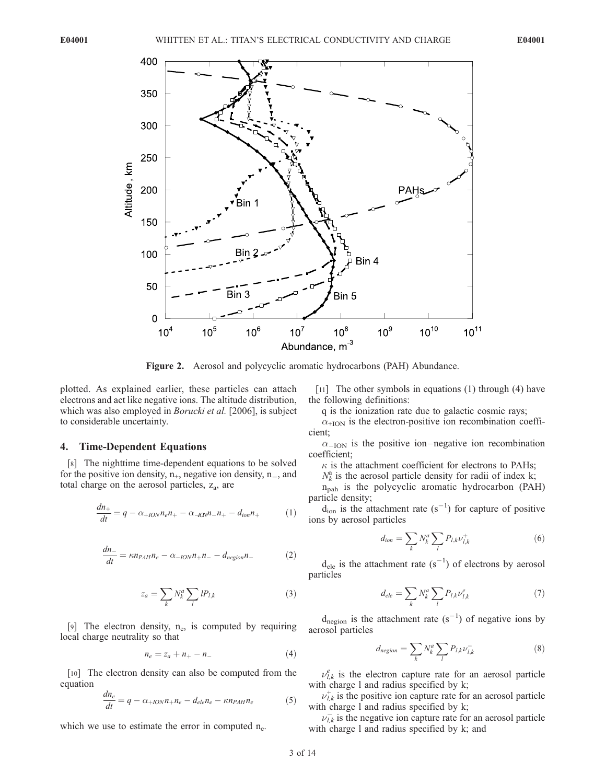

Figure 2. Aerosol and polycyclic aromatic hydrocarbons (PAH) Abundance.

plotted. As explained earlier, these particles can attach electrons and act like negative ions. The altitude distribution, which was also employed in *Borucki et al.* [2006], is subject to considerable uncertainty.

## 4. Time-Dependent Equations

[8] The nighttime time-dependent equations to be solved for the positive ion density,  $n_{+}$ , negative ion density,  $n_{-}$ , and total charge on the aerosol particles,  $z_a$ , are

$$
\frac{dn_+}{dt} = q - \alpha_{+ION}n_e n_+ - \alpha_{-ION}n_- n_+ - d_{ion}n_+ \tag{1}
$$

$$
\frac{dn_{-}}{dt} = \kappa n_{PAH} n_e - \alpha_{-ION} n_{+} n_{-} - d_{negion} n_{-}
$$
 (2)

$$
z_a = \sum_k N_k^a \sum_l l P_{l,k} \tag{3}
$$

[9] The electron density,  $n_e$ , is computed by requiring local charge neutrality so that

$$
n_e = z_a + n_+ - n_- \tag{4}
$$

[10] The electron density can also be computed from the equation

$$
\frac{dn_e}{dt} = q - \alpha_{+ION}n_{+}n_e - d_{ele}n_e - \kappa n_{PAH}n_e \tag{5}
$$

which we use to estimate the error in computed  $n_e$ .

[11] The other symbols in equations (1) through (4) have the following definitions:

q is the ionization rate due to galactic cosmic rays;

 $\alpha$ <sub>+ION</sub> is the electron-positive ion recombination coefficient;

 $\alpha_{-ION}$  is the positive ion-negative ion recombination coefficient;

 $\kappa$  is the attachment coefficient for electrons to PAHs;

 $N_k^a$  is the aerosol particle density for radii of index k;

 $n_{\text{pah}}$  is the polycyclic aromatic hydrocarbon (PAH) particle density;

 $d_{\text{ion}}$  is the attachment rate  $(s^{-1})$  for capture of positive ions by aerosol particles

$$
d_{ion} = \sum_{k} N_k^a \sum_{l} P_{l,k} \nu_{l,k}^+
$$
\n<sup>(6)</sup>

 $d_{ele}$  is the attachment rate  $(s^{-1})$  of electrons by aerosol particles

$$
d_{ele} = \sum_{k} N_k^a \sum_{l} P_{l,k} \nu_{l,k}^e \tag{7}
$$

 $d_{\text{negion}}$  is the attachment rate  $(s^{-1})$  of negative ions by aerosol particles

$$
d_{negion} = \sum_{k} N_k^a \sum_{l} P_{l,k} \nu_{l,k}^- \tag{8}
$$

 $\nu_{l,k}^e$  is the electron capture rate for an aerosol particle with charge 1 and radius specified by k;

 $\nu_{l,k}^+$  is the positive ion capture rate for an aerosol particle with charge l and radius specified by k;

 $\nu_{l,k}^-$  is the negative ion capture rate for an aerosol particle with charge l and radius specified by k; and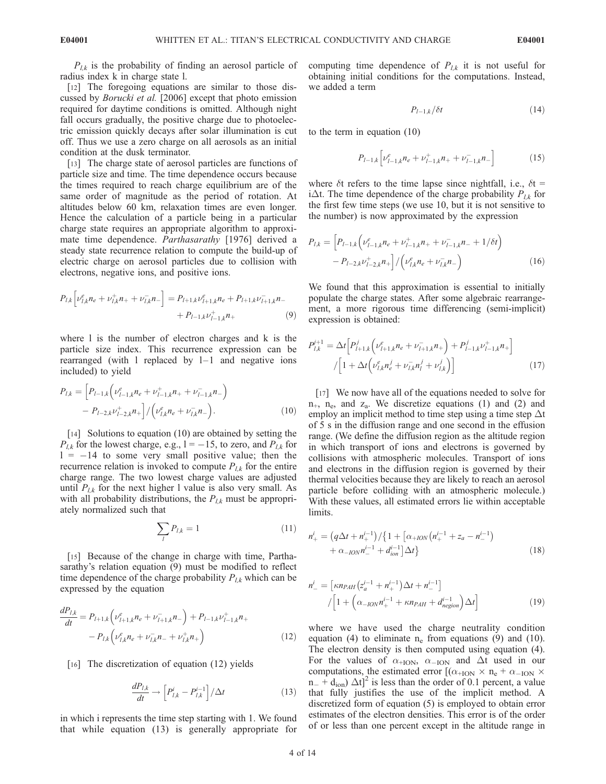$P_{l,k}$  is the probability of finding an aerosol particle of radius index k in charge state l.

[12] The foregoing equations are similar to those discussed by Borucki et al. [2006] except that photo emission required for daytime conditions is omitted. Although night fall occurs gradually, the positive charge due to photoelectric emission quickly decays after solar illumination is cut off. Thus we use a zero charge on all aerosols as an initial condition at the dusk terminator.

[13] The charge state of aerosol particles are functions of particle size and time. The time dependence occurs because the times required to reach charge equilibrium are of the same order of magnitude as the period of rotation. At altitudes below 60 km, relaxation times are even longer. Hence the calculation of a particle being in a particular charge state requires an appropriate algorithm to approximate time dependence. Parthasarathy [1976] derived a steady state recurrence relation to compute the build-up of electric charge on aerosol particles due to collision with electrons, negative ions, and positive ions.

$$
P_{l,k} \left[ \nu_{l,k}^e n_e + \nu_{l,k}^+ n_+ + \nu_{l,k}^- n_- \right] = P_{l+1,k} \nu_{l+1,k}^e n_e + P_{l+1,k} \nu_{l+1,k}^- n_- + P_{l-1,k} \nu_{l+1,k}^+ n_+ \tag{9}
$$

where l is the number of electron charges and k is the particle size index. This recurrence expression can be rearranged (with 1 replaced by  $l-1$  and negative ions included) to yield

$$
P_{l,k} = \left[ P_{l-1,k} \left( \nu_{l-1,k}^e n_e + \nu_{l-1,k}^+ n_{l+1,k} - \nu_{l-1,k}^- n_{l-1} \right) \right. \\ \left. - P_{l-2,k} \nu_{l-2,k}^+ n_{l+1} \right] / \left( \nu_{l,k}^e n_e + \nu_{l,k}^- n_{l-1} \right). \tag{10}
$$

[14] Solutions to equation (10) are obtained by setting the  $P_{l,k}$  for the lowest charge, e.g.,  $l = -15$ , to zero, and  $P_{l,k}$  for  $1 = -14$  to some very small positive value; then the recurrence relation is invoked to compute  $P_{l,k}$  for the entire charge range. The two lowest charge values are adjusted until  $P_{l,k}$  for the next higher l value is also very small. As with all probability distributions, the  $P_{l,k}$  must be appropriately normalized such that

$$
\sum_{l} P_{l,k} = 1 \tag{11}
$$

[15] Because of the change in charge with time, Parthasarathy's relation equation (9) must be modified to reflect time dependence of the charge probability  $P_{l,k}$  which can be expressed by the equation

$$
\frac{dP_{l,k}}{dt} = P_{l+1,k} \left( \nu_{l+1,k}^e n_e + \nu_{l+1,k}^- n_- \right) + P_{l-1,k} \nu_{l-1,k}^+ n_+ \n- P_{l,k} \left( \nu_{l,k}^e n_e + \nu_{l,k}^- n_- + \nu_{l,k}^+ n_+ \right) \n\tag{12}
$$

[16] The discretization of equation (12) yields

$$
\frac{dP_{l,k}}{dt} \to \left[ P_{l,k}^{i} - P_{l,k}^{i-1} \right] / \Delta t \tag{13}
$$

in which i represents the time step starting with 1. We found that while equation (13) is generally appropriate for computing time dependence of  $P_{l,k}$  it is not useful for obtaining initial conditions for the computations. Instead, we added a term

$$
P_{l-1,k}/\delta t \tag{14}
$$

to the term in equation (10)

$$
P_{l-1,k} \left[ \nu_{l-1,k}^e n_e + \nu_{l-1,k}^+ n_+ + \nu_{l-1,k}^- n_- \right] \tag{15}
$$

where  $\delta t$  refers to the time lapse since nightfall, i.e.,  $\delta t =$ i $\Delta t$ . The time dependence of the charge probability  $P_{l,k}$  for the first few time steps (we use 10, but it is not sensitive to the number) is now approximated by the expression

$$
P_{l,k} = \left[ P_{l-1,k} \left( \nu_{l-1,k}^e n_e + \nu_{l-1,k}^+ n_{l+1} + \nu_{l-1,k}^- n_{l-1} + 1/\delta t \right) \right. \\ \left. - P_{l-2,k} \nu_{l-2,k}^+ n_{l+1} \right] / \left( \nu_{l,k}^e n_e + \nu_{l,k}^- n_{l-} \right) \tag{16}
$$

We found that this approximation is essential to initially populate the charge states. After some algebraic rearrangement, a more rigorous time differencing (semi-implicit) expression is obtained:

$$
P_{l,k}^{j+1} = \Delta t \Big[ P_{l+1,k}^j \Big( \nu_{l+1,k}^e n_e + \nu_{l+1,k}^- n_+ \Big) + P_{l-1,k}^j \nu_{l-1,k}^+ n_+ \Big] / \Big[ 1 + \Delta t \Big( \nu_{l,k}^e n_e^j + \nu_{l,k}^- n_l^j + \nu_{l,k}^j \Big) \Big]
$$
 (17)

[17] We now have all of the equations needed to solve for  $n_{+}$ ,  $n_{e}$ , and  $z_{a}$ . We discretize equations (1) and (2) and employ an implicit method to time step using a time step  $\Delta t$ of 5 s in the diffusion range and one second in the effusion range. (We define the diffusion region as the altitude region in which transport of ions and electrons is governed by collisions with atmospheric molecules. Transport of ions and electrons in the diffusion region is governed by their thermal velocities because they are likely to reach an aerosol particle before colliding with an atmospheric molecule.) With these values, all estimated errors lie within acceptable limits.

$$
n_{+}^{i} = (q\Delta t + n_{+}^{i-1}) / \{1 + [\alpha_{+ION}(n_{+}^{i-1} + z_a - n_{-}^{i-1}) + \alpha_{-ION}n_{-}^{i-1} + d_{ion}^{i-1}\}\Delta t\}
$$
\n(18)

$$
n_{-}^{i} = \left[\kappa n_{PAH} \left(z_{a}^{i-1} + n_{+}^{i-1}\right) \Delta t + n_{-}^{i-1}\right] \\
/ \left[1 + \left(\alpha_{-ION} n_{+}^{i-1} + \kappa n_{PAH} + d_{negion}^{i-1}\right) \Delta t\right]
$$
\n(19)

where we have used the charge neutrality condition equation (4) to eliminate  $n_e$  from equations (9) and (10). The electron density is then computed using equation (4). For the values of  $\alpha_{\text{HON}}$ ,  $\alpha_{\text{ION}}$  and  $\Delta t$  used in our computations, the estimated error  $[(\alpha_{\text{HON}} \times n_e + \alpha_{\text{ION}} \times$  $n_{-} + d_{\text{ion}} \Delta t$ <sup>2</sup> is less than the order of 0.1 percent, a value that fully justifies the use of the implicit method. A discretized form of equation (5) is employed to obtain error estimates of the electron densities. This error is of the order of or less than one percent except in the altitude range in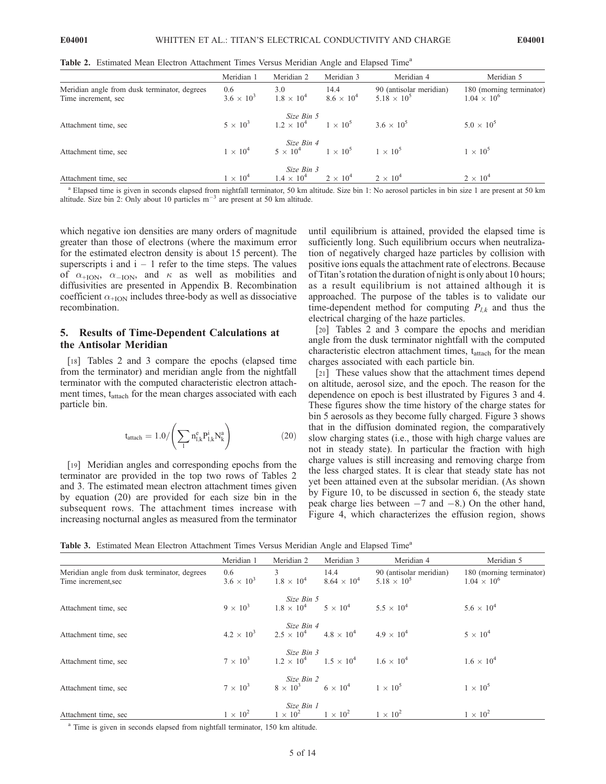Table 2. Estimated Mean Electron Attachment Times Versus Meridian Angle and Elapsed Time<sup>a</sup>

|                                                                     | Meridian 1               | Meridian 2                                                        | Meridian 3                  | Meridian 4                                    | Meridian 5                                       |
|---------------------------------------------------------------------|--------------------------|-------------------------------------------------------------------|-----------------------------|-----------------------------------------------|--------------------------------------------------|
| Meridian angle from dusk terminator, degrees<br>Time increment, sec | 0.6<br>$3.6 \times 10^3$ | 3.0<br>$1.8 \times 10^4$                                          | 14.4<br>$8.6 \times 10^{4}$ | 90 (antisolar meridian)<br>$5.18 \times 10^5$ | 180 (morning terminator)<br>$1.04 \times 10^{6}$ |
| Attachment time, sec                                                | $5 \times 10^3$          | Size Bin 5<br>$1.2 \times 10^4$ $1 \times 10^5$ $3.6 \times 10^5$ |                             |                                               | $5.0 \times 10^{5}$                              |
| Attachment time, sec                                                | $1 \times 10^4$          | Size Bin 4<br>$5 \times 10^4$ $1 \times 10^5$ $1 \times 10^5$     |                             |                                               | $1 \times 10^5$                                  |
| Attachment time, sec                                                | $1 \times 10^4$          | Size Bin 3<br>$1.4 \times 10^4$ $2 \times 10^4$                   |                             | $2 \times 10^4$                               | $2 \times 10^4$                                  |

<sup>a</sup> Elapsed time is given in seconds elapsed from nightfall terminator, 50 km altitude. Size bin 1: No aerosol particles in bin size 1 are present at 50 km altitude. Size bin 2: Only about 10 particles  $m^{-3}$  are present at 50 km altitude.

which negative ion densities are many orders of magnitude greater than those of electrons (where the maximum error for the estimated electron density is about 15 percent). The superscripts i and  $i - 1$  refer to the time steps. The values of  $\alpha_{+ION}$ ,  $\alpha_{-ION}$ , and  $\kappa$  as well as mobilities and diffusivities are presented in Appendix B. Recombination coefficient  $\alpha$ <sub>+ION</sub> includes three-body as well as dissociative recombination.

## 5. Results of Time-Dependent Calculations at the Antisolar Meridian

[18] Tables 2 and 3 compare the epochs (elapsed time from the terminator) and meridian angle from the nightfall terminator with the computed characteristic electron attachment times, t<sub>attach</sub> for the mean charges associated with each particle bin.

$$
t_{attach}=1.0/\left(\sum_l n_{l,k}^e P_{l,k}^i N_k^a\right)\hspace{1.5cm}(20)
$$

[19] Meridian angles and corresponding epochs from the terminator are provided in the top two rows of Tables 2 and 3. The estimated mean electron attachment times given by equation (20) are provided for each size bin in the subsequent rows. The attachment times increase with increasing nocturnal angles as measured from the terminator until equilibrium is attained, provided the elapsed time is sufficiently long. Such equilibrium occurs when neutralization of negatively charged haze particles by collision with positive ions equals the attachment rate of electrons. Because of Titan's rotation the duration of night is only about 10 hours; as a result equilibrium is not attained although it is approached. The purpose of the tables is to validate our time-dependent method for computing  $P_{lk}$  and thus the electrical charging of the haze particles.

[20] Tables 2 and 3 compare the epochs and meridian angle from the dusk terminator nightfall with the computed characteristic electron attachment times,  $t_{\text{attack}}$  for the mean charges associated with each particle bin.

[21] These values show that the attachment times depend on altitude, aerosol size, and the epoch. The reason for the dependence on epoch is best illustrated by Figures 3 and 4. These figures show the time history of the charge states for bin 5 aerosols as they become fully charged. Figure 3 shows that in the diffusion dominated region, the comparatively slow charging states (i.e., those with high charge values are not in steady state). In particular the fraction with high charge values is still increasing and removing charge from the less charged states. It is clear that steady state has not yet been attained even at the subsolar meridian. (As shown by Figure 10, to be discussed in section 6, the steady state peak charge lies between  $-7$  and  $-8$ .) On the other hand, Figure 4, which characterizes the effusion region, shows

Table 3. Estimated Mean Electron Attachment Times Versus Meridian Angle and Elapsed Time<sup>a</sup>

|                                                                     | Meridian 1                 | Meridian 2                                                              | Meridian 3                                          | Meridian 4                                      | Meridian 5                                       |
|---------------------------------------------------------------------|----------------------------|-------------------------------------------------------------------------|-----------------------------------------------------|-------------------------------------------------|--------------------------------------------------|
| Meridian angle from dusk terminator, degrees<br>Time increment, sec | 0.6<br>$3.6 \times 10^{3}$ | $3^{\circ}$<br>$1.8 \times 10^4$                                        | 14.4<br>$8.64 \times 10^{4}$                        | 90 (antisolar meridian)<br>$5.18 \times 10^{5}$ | 180 (morning terminator)<br>$1.04 \times 10^{6}$ |
|                                                                     | $9 \times 10^3$            | Size Bin 5                                                              | $1.8 \times 10^4$ $5 \times 10^4$ $5.5 \times 10^4$ |                                                 | $5.6 \times 10^{4}$                              |
| Attachment time, sec                                                |                            |                                                                         |                                                     |                                                 |                                                  |
|                                                                     |                            | Size Bin 4                                                              |                                                     |                                                 |                                                  |
| Attachment time, sec                                                |                            | $4.2 \times 10^3$ $2.5 \times 10^4$ $4.8 \times 10^4$ $4.9 \times 10^4$ |                                                     |                                                 | $5 \times 10^4$                                  |
|                                                                     |                            | Size Bin 3                                                              |                                                     |                                                 |                                                  |
| Attachment time, sec                                                | $7 \times 10^3$            | $1.2 \times 10^4$ $1.5 \times 10^4$ $1.6 \times 10^4$                   |                                                     |                                                 | $1.6 \times 10^{4}$                              |
|                                                                     |                            | Size Bin 2                                                              |                                                     |                                                 |                                                  |
| Attachment time, sec                                                | $7 \times 10^3$            | Size Bin 2<br>8 $\times$ 10 <sup>3</sup> 6 $\times$ 10 <sup>4</sup>     |                                                     | $1 \times 10^5$                                 | $1 \times 10^5$                                  |
|                                                                     |                            | Size Bin 1                                                              |                                                     |                                                 |                                                  |
| Attachment time, sec                                                | $1 \times 10^2$            | $1 \times 10^2$ $1 \times 10^2$                                         |                                                     | $1 \times 10^2$                                 | $1 \times 10^2$                                  |

<sup>a</sup> Time is given in seconds elapsed from nightfall terminator, 150 km altitude.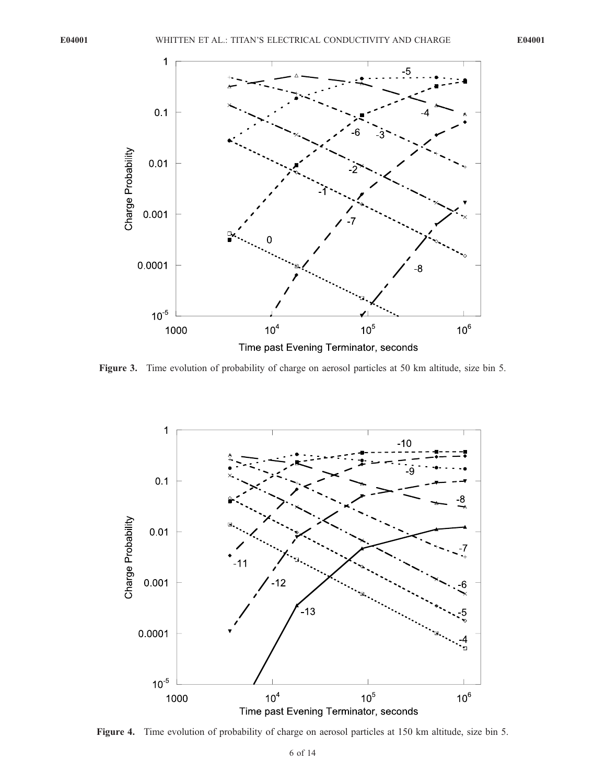

Figure 3. Time evolution of probability of charge on aerosol particles at 50 km altitude, size bin 5.



Figure 4. Time evolution of probability of charge on aerosol particles at 150 km altitude, size bin 5.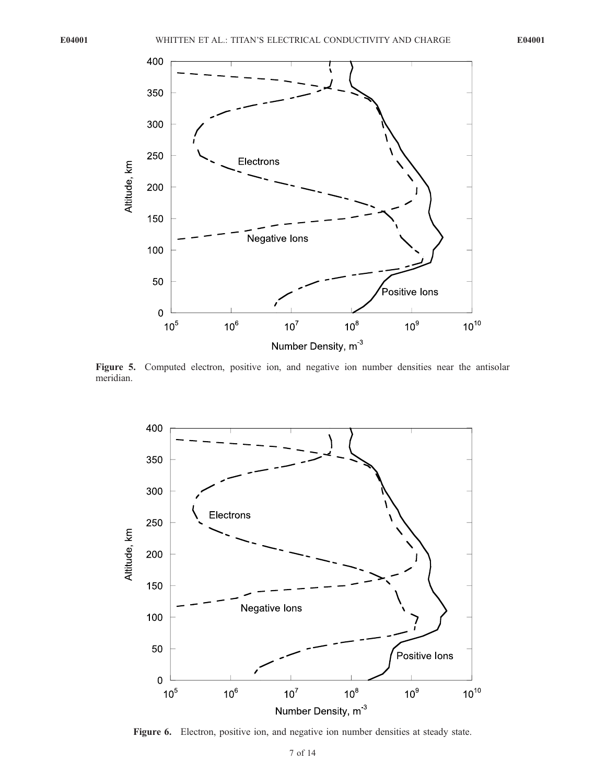

Figure 5. Computed electron, positive ion, and negative ion number densities near the antisolar meridian.



Figure 6. Electron, positive ion, and negative ion number densities at steady state.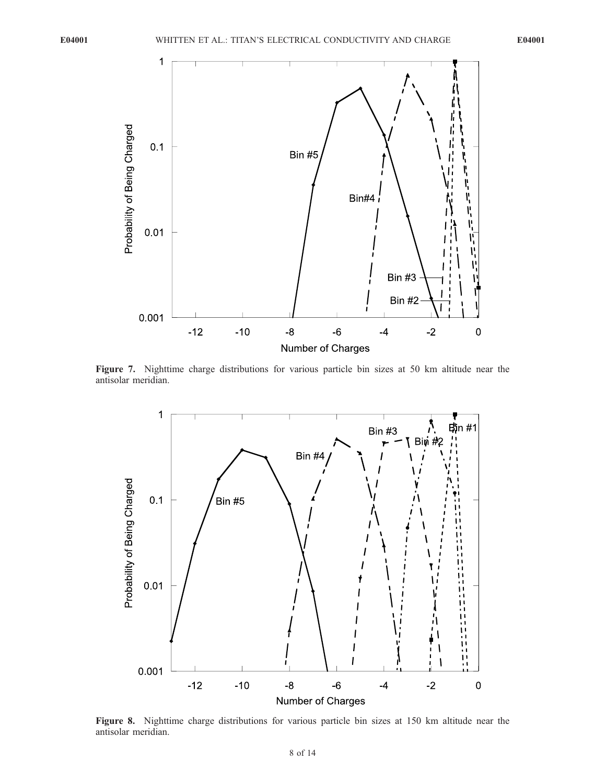

Figure 7. Nighttime charge distributions for various particle bin sizes at 50 km altitude near the antisolar meridian.



Figure 8. Nighttime charge distributions for various particle bin sizes at 150 km altitude near the antisolar meridian.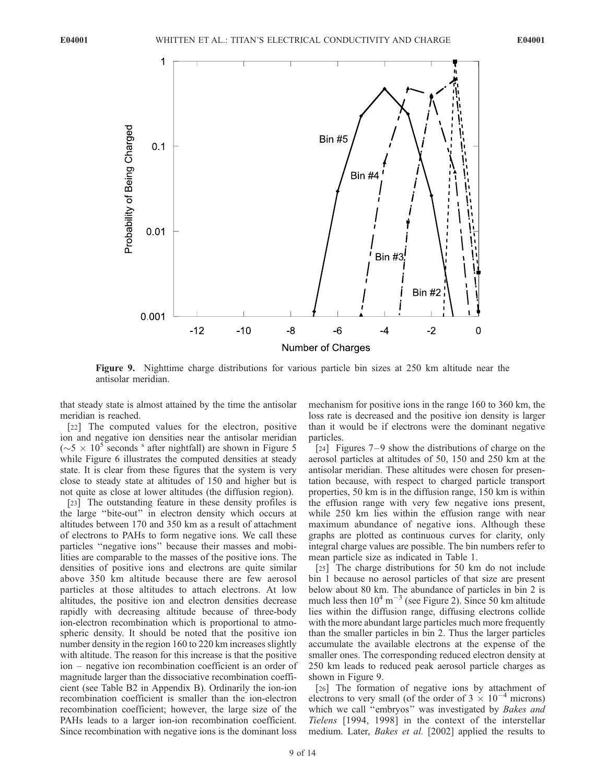

Figure 9. Nighttime charge distributions for various particle bin sizes at 250 km altitude near the antisolar meridian.

that steady state is almost attained by the time the antisolar meridian is reached.

[22] The computed values for the electron, positive ion and negative ion densities near the antisolar meridian  $({\sim}5 \times 10^5$  seconds <sup>s</sup> after nightfall) are shown in Figure 5 while Figure 6 illustrates the computed densities at steady state. It is clear from these figures that the system is very close to steady state at altitudes of 150 and higher but is not quite as close at lower altitudes (the diffusion region).

[23] The outstanding feature in these density profiles is the large ''bite-out'' in electron density which occurs at altitudes between 170 and 350 km as a result of attachment of electrons to PAHs to form negative ions. We call these particles ''negative ions'' because their masses and mobilities are comparable to the masses of the positive ions. The densities of positive ions and electrons are quite similar above 350 km altitude because there are few aerosol particles at those altitudes to attach electrons. At low altitudes, the positive ion and electron densities decrease rapidly with decreasing altitude because of three-body ion-electron recombination which is proportional to atmospheric density. It should be noted that the positive ion number density in the region 160 to 220 km increases slightly with altitude. The reason for this increase is that the positive ion – negative ion recombination coefficient is an order of magnitude larger than the dissociative recombination coefficient (see Table B2 in Appendix B). Ordinarily the ion-ion recombination coefficient is smaller than the ion-electron recombination coefficient; however, the large size of the PAHs leads to a larger ion-ion recombination coefficient. Since recombination with negative ions is the dominant loss

mechanism for positive ions in the range 160 to 360 km, the loss rate is decreased and the positive ion density is larger than it would be if electrons were the dominant negative particles.

[24] Figures  $7-9$  show the distributions of charge on the aerosol particles at altitudes of 50, 150 and 250 km at the antisolar meridian. These altitudes were chosen for presentation because, with respect to charged particle transport properties, 50 km is in the diffusion range, 150 km is within the effusion range with very few negative ions present, while 250 km lies within the effusion range with near maximum abundance of negative ions. Although these graphs are plotted as continuous curves for clarity, only integral charge values are possible. The bin numbers refer to mean particle size as indicated in Table 1.

[25] The charge distributions for 50 km do not include bin 1 because no aerosol particles of that size are present below about 80 km. The abundance of particles in bin 2 is much less then  $10^4 \text{ m}^{-3}$  (see Figure 2). Since 50 km altitude lies within the diffusion range, diffusing electrons collide with the more abundant large particles much more frequently than the smaller particles in bin 2. Thus the larger particles accumulate the available electrons at the expense of the smaller ones. The corresponding reduced electron density at 250 km leads to reduced peak aerosol particle charges as shown in Figure 9.

[26] The formation of negative ions by attachment of electrons to very small (of the order of  $3 \times 10^{-4}$  microns) which we call "embryos" was investigated by Bakes and Tielens [1994, 1998] in the context of the interstellar medium. Later, Bakes et al. [2002] applied the results to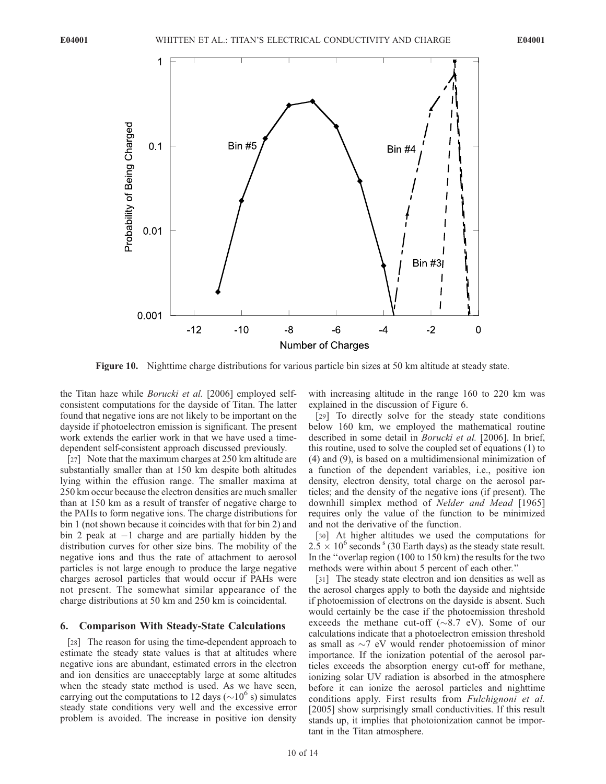

Figure 10. Nighttime charge distributions for various particle bin sizes at 50 km altitude at steady state.

the Titan haze while Borucki et al. [2006] employed selfconsistent computations for the dayside of Titan. The latter found that negative ions are not likely to be important on the dayside if photoelectron emission is significant. The present work extends the earlier work in that we have used a timedependent self-consistent approach discussed previously.

[27] Note that the maximum charges at 250 km altitude are substantially smaller than at 150 km despite both altitudes lying within the effusion range. The smaller maxima at 250 km occur because the electron densities are much smaller than at 150 km as a result of transfer of negative charge to the PAHs to form negative ions. The charge distributions for bin 1 (not shown because it coincides with that for bin 2) and bin 2 peak at  $-1$  charge and are partially hidden by the distribution curves for other size bins. The mobility of the negative ions and thus the rate of attachment to aerosol particles is not large enough to produce the large negative charges aerosol particles that would occur if PAHs were not present. The somewhat similar appearance of the charge distributions at 50 km and 250 km is coincidental.

## 6. Comparison With Steady-State Calculations

[28] The reason for using the time-dependent approach to estimate the steady state values is that at altitudes where negative ions are abundant, estimated errors in the electron and ion densities are unacceptably large at some altitudes when the steady state method is used. As we have seen, carrying out the computations to 12 days ( $\sim$ 10<sup>6</sup> s) simulates steady state conditions very well and the excessive error problem is avoided. The increase in positive ion density

with increasing altitude in the range 160 to 220 km was explained in the discussion of Figure 6.

[29] To directly solve for the steady state conditions below 160 km, we employed the mathematical routine described in some detail in Borucki et al. [2006]. In brief, this routine, used to solve the coupled set of equations (1) to (4) and (9), is based on a multidimensional minimization of a function of the dependent variables, i.e., positive ion density, electron density, total charge on the aerosol particles; and the density of the negative ions (if present). The downhill simplex method of Nelder and Mead [1965] requires only the value of the function to be minimized and not the derivative of the function.

[30] At higher altitudes we used the computations for  $2.5 \times 10^6$  seconds <sup>s</sup> (30 Earth days) as the steady state result. In the ''overlap region (100 to 150 km) the results for the two methods were within about 5 percent of each other.''

[31] The steady state electron and ion densities as well as the aerosol charges apply to both the dayside and nightside if photoemission of electrons on the dayside is absent. Such would certainly be the case if the photoemission threshold exceeds the methane cut-off ( $\sim 8.7$  eV). Some of our calculations indicate that a photoelectron emission threshold as small as  $\sim$ 7 eV would render photoemission of minor importance. If the ionization potential of the aerosol particles exceeds the absorption energy cut-off for methane, ionizing solar UV radiation is absorbed in the atmosphere before it can ionize the aerosol particles and nighttime conditions apply. First results from Fulchignoni et al. [2005] show surprisingly small conductivities. If this result stands up, it implies that photoionization cannot be important in the Titan atmosphere.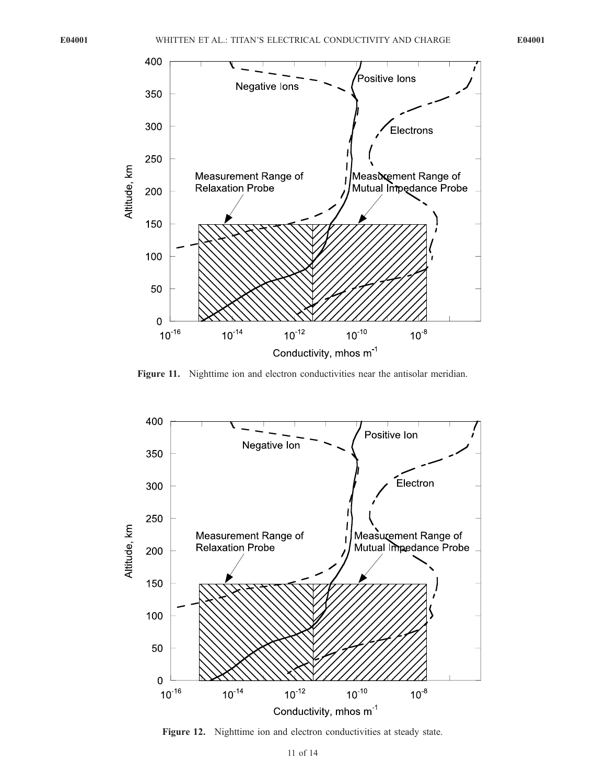

Figure 11. Nighttime ion and electron conductivities near the antisolar meridian.



Figure 12. Nighttime ion and electron conductivities at steady state.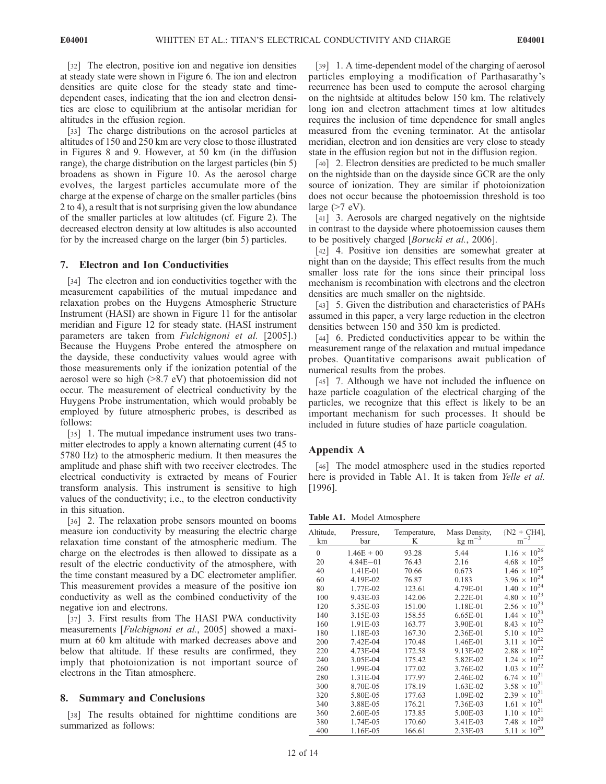[32] The electron, positive ion and negative ion densities at steady state were shown in Figure 6. The ion and electron densities are quite close for the steady state and timedependent cases, indicating that the ion and electron densities are close to equilibrium at the antisolar meridian for altitudes in the effusion region.

[33] The charge distributions on the aerosol particles at altitudes of 150 and 250 km are very close to those illustrated in Figures 8 and 9. However, at 50 km (in the diffusion range), the charge distribution on the largest particles (bin 5) broadens as shown in Figure 10. As the aerosol charge evolves, the largest particles accumulate more of the charge at the expense of charge on the smaller particles (bins 2 to 4), a result that is not surprising given the low abundance of the smaller particles at low altitudes (cf. Figure 2). The decreased electron density at low altitudes is also accounted for by the increased charge on the larger (bin 5) particles.

## 7. Electron and Ion Conductivities

[34] The electron and ion conductivities together with the measurement capabilities of the mutual impedance and relaxation probes on the Huygens Atmospheric Structure Instrument (HASI) are shown in Figure 11 for the antisolar meridian and Figure 12 for steady state. (HASI instrument parameters are taken from Fulchignoni et al. [2005].) Because the Huygens Probe entered the atmosphere on the dayside, these conductivity values would agree with those measurements only if the ionization potential of the aerosol were so high (>8.7 eV) that photoemission did not occur. The measurement of electrical conductivity by the Huygens Probe instrumentation, which would probably be employed by future atmospheric probes, is described as follows:

[35] 1. The mutual impedance instrument uses two transmitter electrodes to apply a known alternating current (45 to 5780 Hz) to the atmospheric medium. It then measures the amplitude and phase shift with two receiver electrodes. The electrical conductivity is extracted by means of Fourier transform analysis. This instrument is sensitive to high values of the conductivity; i.e., to the electron conductivity in this situation.

[36] 2. The relaxation probe sensors mounted on booms measure ion conductivity by measuring the electric charge relaxation time constant of the atmospheric medium. The charge on the electrodes is then allowed to dissipate as a result of the electric conductivity of the atmosphere, with the time constant measured by a DC electrometer amplifier. This measurement provides a measure of the positive ion conductivity as well as the combined conductivity of the negative ion and electrons.

[37] 3. First results from The HASI PWA conductivity measurements [Fulchignoni et al., 2005] showed a maximum at 60 km altitude with marked decreases above and below that altitude. If these results are confirmed, they imply that photoionization is not important source of electrons in the Titan atmosphere.

#### 8. Summary and Conclusions

[38] The results obtained for nighttime conditions are summarized as follows:

[39] 1. A time-dependent model of the charging of aerosol particles employing a modification of Parthasarathy's recurrence has been used to compute the aerosol charging on the nightside at altitudes below 150 km. The relatively long ion and electron attachment times at low altitudes requires the inclusion of time dependence for small angles measured from the evening terminator. At the antisolar meridian, electron and ion densities are very close to steady state in the effusion region but not in the diffusion region.

[40] 2. Electron densities are predicted to be much smaller on the nightside than on the dayside since GCR are the only source of ionization. They are similar if photoionization does not occur because the photoemission threshold is too large  $(>7$  eV).

[41] 3. Aerosols are charged negatively on the nightside in contrast to the dayside where photoemission causes them to be positively charged [Borucki et al., 2006].

[42] 4. Positive ion densities are somewhat greater at night than on the dayside; This effect results from the much smaller loss rate for the ions since their principal loss mechanism is recombination with electrons and the electron densities are much smaller on the nightside.

[43] 5. Given the distribution and characteristics of PAHs assumed in this paper, a very large reduction in the electron densities between 150 and 350 km is predicted.

[44] 6. Predicted conductivities appear to be within the measurement range of the relaxation and mutual impedance probes. Quantitative comparisons await publication of numerical results from the probes.

[45] 7. Although we have not included the influence on haze particle coagulation of the electrical charging of the particles, we recognize that this effect is likely to be an important mechanism for such processes. It should be included in future studies of haze particle coagulation.

## Appendix A

[46] The model atmosphere used in the studies reported here is provided in Table A1. It is taken from *Yelle et al.* [1996].

Table A1. Model Atmosphere

| Altitude,<br>km | Pressure,<br>bar | Temperature,<br>K | Mass Density,<br>$kg \, \text{m}^{-3}$ | $\{N2 + CH4\}$<br>$\mathrm{m}^{-3}$ |
|-----------------|------------------|-------------------|----------------------------------------|-------------------------------------|
| $\theta$        | $1.46E + 00$     | 93.28             | 5.44                                   | $1.16 \times 10^{26}$               |
| 20              | $4.84E - 01$     | 76.43             | 2.16                                   | $4.68 \times 10^{25}$               |
| 40              | 1.41E-01         | 70.66             | 0.673                                  | $1.46 \times 10^{25}$               |
| 60              | 4.19E-02         | 76.87             | 0.183                                  | $3.96 \times 10^{24}$               |
| 80              | 1.77E-02         | 123.61            | 4.79E-01                               | $1.40 \times 10^{24}$               |
| 100             | 9.43E-03         | 142.06            | 2.22E-01                               | $4.80 \times 10^{23}$               |
| 120             | 5.35E-03         | 151.00            | 1.18E-01                               | $2.56 \times 10^{23}$               |
| 140             | 3.15E-03         | 158.55            | 6.65E-01                               | $1.44 \times 10^{23}$               |
| 160             | 1.91E-03         | 163.77            | 3.90E-01                               | $8.43 \times 10^{22}$               |
| 180             | 1.18E-03         | 167.30            | 2.36E-01                               | $5.10 \times 10^{22}$               |
| 200             | 7.42E-04         | 170.48            | 1.46E-01                               | $3.11 \times 10^{22}$               |
| 220             | 4.73E-04         | 172.58            | 9.13E-02                               | $2.88 \times 10^{22}$               |
| 240             | 3.05E-04         | 175.42            | 5.82E-02                               | $1.24 \times 10^{22}$               |
| 260             | 1.99E-04         | 177.02            | 3.76E-02                               | $1.03 \times 10^{22}$               |
| 280             | 1.31E-04         | 177.97            | 2.46E-02                               | $6.74 \times 10^{21}$               |
| 300             | 8.70E-05         | 178.19            | 1.63E-02                               | $3.58 \times 10^{21}$               |
| 320             | 5.80E-05         | 177.63            | 1.09E-02                               | $2.39 \times 10^{21}$               |
| 340             | 3.88E-05         | 176.21            | 7.36E-03                               | $1.61 \times 10^{21}$               |
| 360             | 2.60E-05         | 173.85            | 5.00E-03                               | $1.10 \times 10^{21}$               |
| 380             | 1.74E-05         | 170.60            | 3.41E-03                               | $7.48 \times 10^{20}$               |
| 400             | 1.16E-05         | 166.61            | 2.33E-03                               | $5.11 \times 10^{20}$               |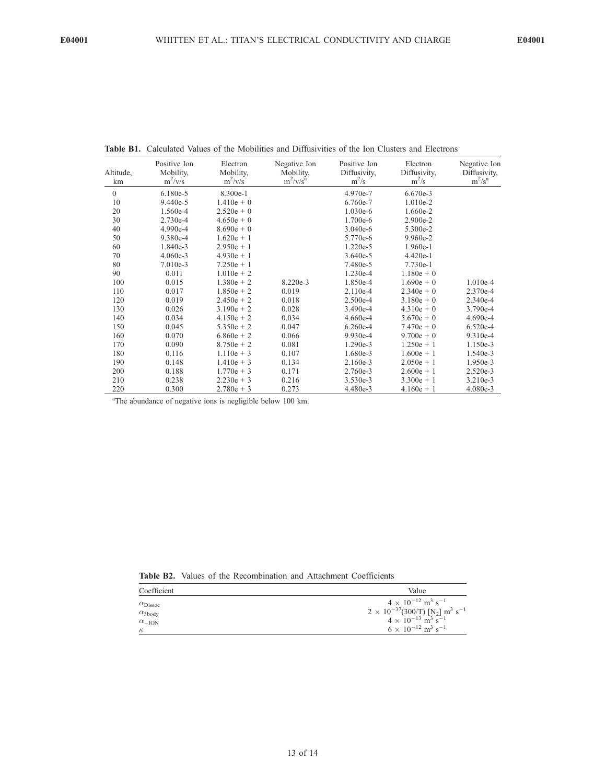| Altitude,<br>km | Positive Ion<br>Mobility,<br>$m^2/v/s$ | Electron<br>Mobility,<br>$m^2/v/s$ | Negative Ion<br>Mobility,<br>$m^2/v/s^a$ | Positive Ion<br>Diffusivity,<br>$m^2/s$ | Electron<br>Diffusivity,<br>$m^2/s$ | Negative Ion<br>Diffusivity,<br>$m^2/s^a$ |
|-----------------|----------------------------------------|------------------------------------|------------------------------------------|-----------------------------------------|-------------------------------------|-------------------------------------------|
| $\theta$        | 6.180e-5                               | 8.300e-1                           |                                          | 4.970e-7                                | 6.670e-3                            |                                           |
| 10              | 9.440e-5                               | $1.410e + 0$                       |                                          | 6.760e-7                                | $1.010e-2$                          |                                           |
| 20              | 1.560e-4                               | $2.520e + 0$                       |                                          | 1.030e-6                                | 1.660e-2                            |                                           |
| 30              | 2.730e-4                               | $4.650e + 0$                       |                                          | 1.700e-6                                | 2.900e-2                            |                                           |
| 40              | 4.990e-4                               | $8.690e + 0$                       |                                          | $3.040e-6$                              | 5.300e-2                            |                                           |
| 50              | 9.380e-4                               | $1.620e + 1$                       |                                          | 5.770e-6                                | 9.960e-2                            |                                           |
| 60              | 1.840e-3                               | $2.950e + 1$                       |                                          | 1.220e-5                                | 1.960e-1                            |                                           |
| 70              | $4.060e-3$                             | $4.930e + 1$                       |                                          | 3.640e-5                                | $4.420e-1$                          |                                           |
| 80              | $7.010e-3$                             | $7.250e + 1$                       |                                          | 7.480e-5                                | 7.730e-1                            |                                           |
| 90              | 0.011                                  | $1.010e + 2$                       |                                          | 1.230e-4                                | $1.180e + 0$                        |                                           |
| 100             | 0.015                                  | $1.380e + 2$                       | 8.220e-3                                 | 1.850e-4                                | $1.690e + 0$                        | 1.010e-4                                  |
| 110             | 0.017                                  | $1.850e + 2$                       | 0.019                                    | 2.110e-4                                | $2.340e + 0$                        | 2.370e-4                                  |
| 120             | 0.019                                  | $2.450e + 2$                       | 0.018                                    | 2.500e-4                                | $3.180e + 0$                        | 2.340e-4                                  |
| 130             | 0.026                                  | $3.190e + 2$                       | 0.028                                    | 3.490e-4                                | $4.310e + 0$                        | 3.790e-4                                  |
| 140             | 0.034                                  | $4.150e + 2$                       | 0.034                                    | 4.660e-4                                | $5.670e + 0$                        | 4.690e-4                                  |
| 150             | 0.045                                  | $5.350e + 2$                       | 0.047                                    | $6.260e-4$                              | $7.470e + 0$                        | 6.520e-4                                  |
| 160             | 0.070                                  | $6.860e + 2$                       | 0.066                                    | 9.930e-4                                | $9.700e + 0$                        | 9.310e-4                                  |
| 170             | 0.090                                  | $8.750e + 2$                       | 0.081                                    | 1.290e-3                                | $1.250e + 1$                        | 1.150e-3                                  |
| 180             | 0.116                                  | $1.110e + 3$                       | 0.107                                    | 1.680e-3                                | $1.600e + 1$                        | 1.540e-3                                  |
| 190             | 0.148                                  | $1.410e + 3$                       | 0.134                                    | 2.160e-3                                | $2.050e + 1$                        | 1.950e-3                                  |
| 200             | 0.188                                  | $1.770e + 3$                       | 0.171                                    | 2.760e-3                                | $2.600e + 1$                        | 2.520e-3                                  |
| 210             | 0.238                                  | $2.230e + 3$                       | 0.216                                    | 3.530e-3                                | $3.300e + 1$                        | 3.210e-3                                  |
| 220             | 0.300                                  | $2.780e + 3$                       | 0.273                                    | 4.480e-3                                | $4.160e + 1$                        | 4.080e-3                                  |

Table B1. Calculated Values of the Mobilities and Diffusivities of the Ion Clusters and Electrons

<sup>a</sup>The abundance of negative ions is negligible below 100 km.

Table B2. Values of the Recombination and Attachment Coefficients

| Coefficient              | Value                                                                        |  |  |
|--------------------------|------------------------------------------------------------------------------|--|--|
| $\alpha_{Dissoc}$        | $4 \times 10^{-12}$ m <sup>3</sup> s <sup>-1</sup>                           |  |  |
| $\alpha_{3body}$         | $2 \times 10^{-37} (300/T)$ [N <sub>2</sub> ] m <sup>3</sup> s <sup>-1</sup> |  |  |
| $\alpha$ <sub>-ION</sub> | $4 \times 10^{-13}$ m <sup>3</sup> s <sup>-1</sup>                           |  |  |
| $\kappa$                 | $6 \times 10^{-12}$ m <sup>3</sup> s <sup>-1</sup>                           |  |  |